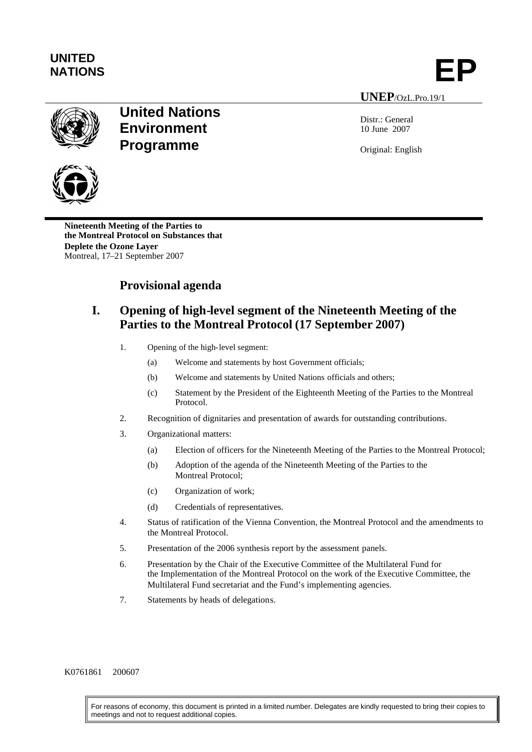

**UNEP**/OzL.Pro.19/1

Distr.: General 10 June 2007

Original: English



**Nineteenth Meeting of the Parties to the Montreal Protocol on Substances that Deplete the Ozone Layer**

Montreal, 17–21 September 2007

# **Provisional agenda**

**United Nations**

**Environment**

**Programme**

## **I. Opening of high-level segment of the Nineteenth Meeting of the Parties to the Montreal Protocol (17 September 2007)**

- 1. Opening of the high-level segment:
	- (a) Welcome and statements by host Government officials;
	- (b) Welcome and statements by United Nations officials and others;
	- (c) Statement by the President of the Eighteenth Meeting of the Parties to the Montreal Protocol.
- 2. Recognition of dignitaries and presentation of awards for outstanding contributions.
- 3. Organizational matters:
	- (a) Election of officers for the Nineteenth Meeting of the Parties to the Montreal Protocol;
	- (b) Adoption of the agenda of the Nineteenth Meeting of the Parties to the Montreal Protocol;
	- (c) Organization of work;
	- (d) Credentials of representatives.
- 4. Status of ratification of the Vienna Convention, the Montreal Protocol and the amendments to the Montreal Protocol.
- 5. Presentation of the 2006 synthesis report by the assessment panels.
- 6. Presentation by the Chair of the Executive Committee of the Multilateral Fund for the Implementation of the Montreal Protocol on the work of the Executive Committee, the Multilateral Fund secretariat and the Fund's implementing agencies.
- 7. Statements by heads of delegations.

K0761861 200607

For reasons of economy, this document is printed in a limited number. Delegates are kindly requested to bring their copies to meetings and not to request additional copies.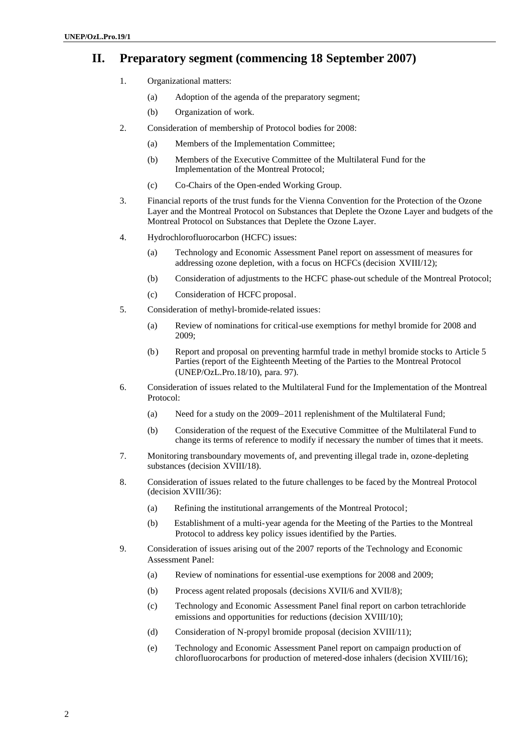### **II. Preparatory segment (commencing 18 September 2007)**

- 1. Organizational matters:
	- (a) Adoption of the agenda of the preparatory segment;
	- (b) Organization of work.
- 2. Consideration of membership of Protocol bodies for 2008:
	- (a) Members of the Implementation Committee;
	- (b) Members of the Executive Committee of the Multilateral Fund for the Implementation of the Montreal Protocol;
	- (c) Co-Chairs of the Open-ended Working Group.
- 3. Financial reports of the trust funds for the Vienna Convention for the Protection of the Ozone Layer and the Montreal Protocol on Substances that Deplete the Ozone Layer and budgets of the Montreal Protocol on Substances that Deplete the Ozone Layer.
- 4. Hydrochlorofluorocarbon (HCFC) issues:
	- (a) Technology and Economic Assessment Panel report on assessment of measures for addressing ozone depletion, with a focus on HCFCs (decision XVIII/12);
	- (b) Consideration of adjustments to the HCFC phase-out schedule of the Montreal Protocol;
	- (c) Consideration of HCFC proposal.
- 5. Consideration of methyl-bromide-related issues:
	- (a) Review of nominations for critical-use exemptions for methyl bromide for 2008 and 2009;
	- (b) Report and proposal on preventing harmful trade in methyl bromide stocks to Article 5 Parties (report of the Eighteenth Meeting of the Parties to the Montreal Protocol (UNEP/OzL.Pro.18/10), para. 97).
- 6. Consideration of issues related to the Multilateral Fund for the Implementation of the Montreal Protocol:
	- (a) Need for a study on the  $2009-2011$  replenishment of the Multilateral Fund;
	- (b) Consideration of the request of the Executive Committee of the Multilateral Fund to change its terms of reference to modify if necessary the number of times that it meets.
- 7. Monitoring transboundary movements of, and preventing illegal trade in, ozone-depleting substances (decision XVIII/18).
- 8. Consideration of issues related to the future challenges to be faced by the Montreal Protocol (decision XVIII/36):
	- (a) Refining the institutional arrangements of the Montreal Protocol;
	- (b) Establishment of a multi-year agenda for the Meeting of the Parties to the Montreal Protocol to address key policy issues identified by the Parties.
- 9. Consideration of issues arising out of the 2007 reports of the Technology and Economic Assessment Panel:
	- (a) Review of nominations for essential-use exemptions for 2008 and 2009;
	- (b) Process agent related proposals (decisions XVII/6 and XVII/8);
	- (c) Technology and Economic Assessment Panel final report on carbon tetrachloride emissions and opportunities for reductions (decision XVIII/10);
	- (d) Consideration of N-propyl bromide proposal (decision XVIII/11);
	- (e) Technology and Economic Assessment Panel report on campaign production of chlorofluorocarbons for production of metered-dose inhalers (decision XVIII/16);